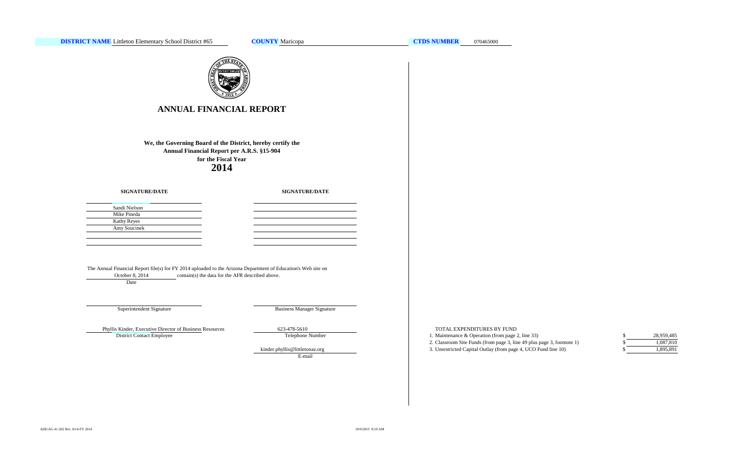

# **ANNUAL FINANCIAL REPORT**

**We, the Governing Board of the District, hereby certify the Annual Financial Report per A.R.S. §15-904 for the Fiscal Year 2014**

### **SIGNATURE/DATE**

**SIGNATURE/DATE**

| Sandi Nielson      |
|--------------------|
| Mike Pineda        |
| <b>Kathy Reyes</b> |
| Amy Soucinek       |
|                    |
|                    |

The Annual Financial Report file(s) for FY 2014 uploaded to the Arizona Department of Education's Web site on October 8, 2014 contain(s) the data for the AFR described above.

Date

## Superintendent Signature

Business Manager Signature

Phyllis Kinder, Executive Director of Business Resources 623-478-5610 TOTAL EXPENDITURES BY FUND District Contact Employee

Telephone Number

E-mail

1. Maintenance & Operation (from page 2, line 33) \$

- 2. Classroom Site Funds (from page 3, line 49 plus page 3, footnote 1) \$
- kinder.phyllis@littletonaz.org 3. Unrestricted Capital Outlay (from page 4, UCO Fund line 10)

| S | 28,959,485 |
|---|------------|
|   | 1.087.810  |
| S | 1,895,891  |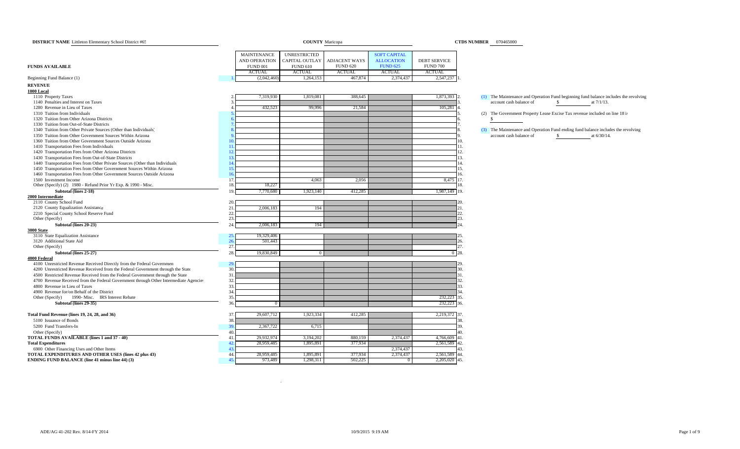| <b>DISTRICT NAME</b> Littleton Elementary School District #65                         |                          | <b>COUNTY</b> Maricopa |                 |                     |                     | <b>CTDS NUMBER</b> 070465000                                                         |
|---------------------------------------------------------------------------------------|--------------------------|------------------------|-----------------|---------------------|---------------------|--------------------------------------------------------------------------------------|
|                                                                                       |                          |                        |                 |                     |                     |                                                                                      |
|                                                                                       | <b>MAINTENANCE</b>       | <b>UNRESTRICTED</b>    |                 | <b>SOFT CAPITAL</b> |                     |                                                                                      |
|                                                                                       | AND OPERATION            | CAPITAL OUTLAY         | ADJACENT WAYS   | <b>ALLOCATION</b>   | <b>DEBT SERVICE</b> |                                                                                      |
| <b>FUNDS AVAILABLE</b>                                                                | <b>FUND 001</b>          | <b>FUND 610</b>        | <b>FUND 620</b> | <b>FUND 625</b>     | <b>FUND 700</b>     |                                                                                      |
|                                                                                       | <b>ACTUAL</b>            | <b>ACTUAL</b>          | <b>ACTUAL</b>   | <b>ACTUAL</b>       | <b>ACTUAL</b>       |                                                                                      |
| Beginning Fund Balance (1)                                                            | (2,042,460)              | 1,264,153              | 467,874         | 2,374,437           | 2,547,237           |                                                                                      |
| <b>REVENUE</b>                                                                        |                          |                        |                 |                     |                     |                                                                                      |
| 1000 Local                                                                            |                          |                        |                 |                     |                     |                                                                                      |
| 1110 Property Taxes                                                                   | 7,319,930                | 1,819,081              | 388,645         |                     | 1,873,393 2         | (1) The Maintenance and Operation Fund beginning fund balance includes the revolving |
| 1140 Penalties and Interest on Taxes                                                  |                          |                        |                 |                     |                     | account cash balance of<br>$\mathbb{S}$<br>at 7/1/13.                                |
| 1280 Revenue in Lieu of Taxes                                                         | 432,523                  | 99,996                 | 21,584          |                     | 105,281             |                                                                                      |
| 1310 Tuition from Individuals<br>1320 Tuition from Other Arizona Districts            |                          |                        |                 |                     |                     | (2) The Government Property Lease Excise Tax revenue included on line 18 is<br>s.    |
| 1330 Tuition from Out-of-State Districts                                              |                          |                        |                 |                     |                     |                                                                                      |
| 1340 Tuition from Other Private Sources (Other than Individuals)                      |                          |                        |                 |                     |                     | (3) The Maintenance and Operation Fund ending fund balance includes the revolving    |
| 1350 Tuition from Other Government Sources Within Arizona                             |                          |                        |                 |                     |                     | account cash balance of<br>$\mathbf{s}$<br>at 6/30/14.                               |
| 1360 Tuition from Other Government Sources Outside Arizona                            | 10                       |                        |                 |                     |                     | 10.                                                                                  |
| 1410 Transportation Fees from Individuals                                             | 11.                      |                        |                 |                     |                     | 11.                                                                                  |
| 1420 Transportation Fees from Other Arizona Districts                                 | 12.                      |                        |                 |                     |                     | 12.                                                                                  |
| 1430 Transportation Fees from Out-of-State Districts                                  | 13.                      |                        |                 |                     |                     | 13.                                                                                  |
| 1440 Transportation Fees from Other Private Sources (Other than Individuals)          | 14                       |                        |                 |                     |                     | $\overline{4}$                                                                       |
| 1450 Transportation Fees from Other Government Sources Within Arizona                 | 15.                      |                        |                 |                     |                     | 15.                                                                                  |
| 1460 Transportation Fees from Other Government Sources Outside Arizona                | 16.                      |                        |                 |                     |                     | 16.                                                                                  |
| 1500 Investment Income                                                                | 17.                      | 4,063                  | 2,056           |                     | 8,475 17.           |                                                                                      |
| Other (Specify) (2) 1980 - Refund Prior Yr Exp. & 1990 - Misc.                        | 18,227<br>18.            |                        |                 |                     |                     | 8.                                                                                   |
| Subtotal (lines 2-18)                                                                 | 19.<br>7,770,680         | 1,923,140              | 412,285         |                     | 1,987,149 19.       |                                                                                      |
| 2000 Intermediate                                                                     |                          |                        |                 |                     |                     |                                                                                      |
| 2110 County School Fund                                                               | 20.                      |                        |                 |                     |                     |                                                                                      |
| 2120 County Equalization Assistance                                                   | 21<br>2,006,183<br>22.   | 194                    |                 |                     |                     | $^{22}$                                                                              |
| 2210 Special County School Reserve Fund<br>Other (Specify)                            | 23.                      |                        |                 |                     |                     | 23.                                                                                  |
| Subtotal (lines 20-23)                                                                | 24.                      |                        |                 |                     |                     |                                                                                      |
| <b>3000 State</b>                                                                     | 2,006,183                | 194                    |                 |                     |                     |                                                                                      |
| 3110 State Equalization Assistance                                                    | 25.<br>19,329,406        |                        |                 |                     |                     |                                                                                      |
| 3120 Additional State Aid                                                             | 26.<br>501,443           |                        |                 |                     |                     |                                                                                      |
| Other (Specify)                                                                       | 27.                      |                        |                 |                     |                     | 27                                                                                   |
| Subtotal (lines 25-27)                                                                | 28.<br>19,830,849        | $\overline{0}$         |                 |                     |                     | $0\sqrt{28}$ .                                                                       |
| 4000 Federal                                                                          |                          |                        |                 |                     |                     |                                                                                      |
| 4100 Unrestricted Revenue Received Directly from the Federal Governmen                | 29.                      |                        |                 |                     |                     |                                                                                      |
| 4200 Unrestricted Revenue Received from the Federal Government through the State      | 30.                      |                        |                 |                     |                     | Ω,                                                                                   |
| 4500 Restricted Revenue Received from the Federal Government through the State        | 31.                      |                        |                 |                     |                     | 31.                                                                                  |
| 4700 Revenue Received from the Federal Government through Other Intermediate Agencies | 32.                      |                        |                 |                     |                     | 32.                                                                                  |
| 4800 Revenue in Lieu of Taxes                                                         | 33.                      |                        |                 |                     |                     | 33.                                                                                  |
| 4900 Revenue for/on Behalf of the District                                            | 34.                      |                        |                 |                     |                     |                                                                                      |
| 1990- Misc. IRS Interest Rebate<br>Other (Specify)                                    | 35.                      |                        |                 |                     | 232,223 35.         |                                                                                      |
| Subtotal (lines 29-35)                                                                | 36.                      |                        |                 |                     | 232,223 36.         |                                                                                      |
| Total Fund Revenue (lines 19, 24, 28, and 36)                                         | 37.<br>29,607,712        | 1,923,334              | 412,285         |                     | 2,219,372 37        |                                                                                      |
| 5100 Issuance of Bonds                                                                | 38.                      |                        |                 |                     |                     |                                                                                      |
| 5200 Fund Transfers-In                                                                | 2,367,722<br>39.         | 6,715                  |                 |                     |                     | O,                                                                                   |
| Other (Specify)                                                                       | 40.                      |                        |                 |                     |                     |                                                                                      |
| <b>TOTAL FUNDS AVAILABLE (lines 1 and 37 - 40)</b>                                    | 41.<br>29,932,974        | 3,194,202              | 880,159         | 2,374,437           | 4,766,609           | 41.                                                                                  |
| <b>Total Expenditures</b>                                                             | 42.<br>28,959,485        | 1,895,891              | 377,934         |                     | 2,561,589           | 42.                                                                                  |
| 6900 Other Financing Uses and Other Items                                             | 43.                      |                        |                 | 2,374,437           |                     |                                                                                      |
| TOTAL EXPENDITURES AND OTHER USES (lines 42 plus 43)                                  | 44.<br>28,959,485<br>45. | 1,895,891              | 377,934         | 2,374,437           | 2,561,589           |                                                                                      |
| <b>ENDING FUND BALANCE (line 41 minus line 44) (3)</b>                                | 973,489                  | 1,298,311              | 502,225         |                     | 2,205,020           | 45.                                                                                  |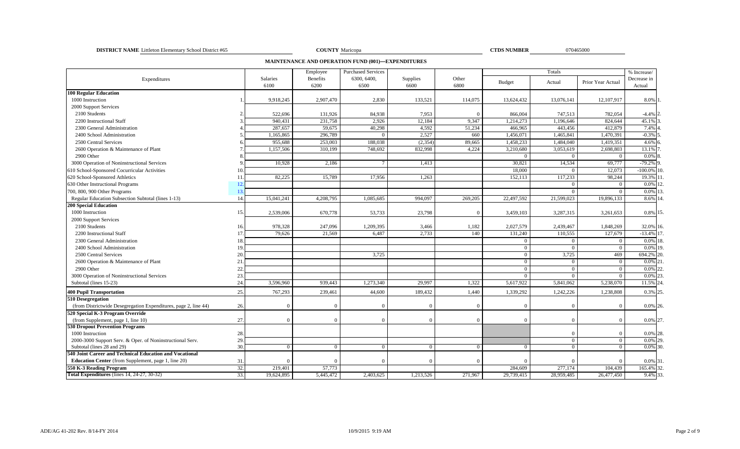**DISTRICT NAME** Littleton Elementary School District #65 070465000 **COUNTY** Maricopa **COUNTY COUNTY COUNTY COUNTY COUNTY COUNTY COUNTY COUNTY COUNTY COUNTY COUNTY COUNTY COUNTY COUNTY COUNTY C** 

COUNTY Maricopa

**CTDS NUMBER** 

**MAINTENANCE AND OPERATION FUND (001)—EXPENDITURES**

|                                                                        |            | Employee  | <b>Purchased Services</b> |           |          |                | Totals         |                   | % Increase/  |
|------------------------------------------------------------------------|------------|-----------|---------------------------|-----------|----------|----------------|----------------|-------------------|--------------|
| Expenditures                                                           | Salaries   | Benefits  | 6300, 6400,               | Supplies  | Other    | <b>Budget</b>  | Actual         | Prior Year Actual | Decrease in  |
|                                                                        | 6100       | 6200      | 6500                      | 6600      | 6800     |                |                |                   | Actual       |
| <b>100 Regular Education</b>                                           |            |           |                           |           |          |                |                |                   |              |
| 1000 Instruction                                                       | 9,918,245  | 2,907,470 | 2.830                     | 133,521   | 114,075  | 13,624,432     | 13,076,141     | 12,107,917        | 8.0% 1       |
| 2000 Support Services                                                  |            |           |                           |           |          |                |                |                   |              |
| 2100 Students                                                          | 522,696    | 131,926   | 84,938                    | 7,953     |          | 866,004        | 747,513        | 782,054           | $-4.4%$ 2    |
| 2200 Instructional Staff                                               | 940,431    | 231,758   | 2,926                     | 12,184    | 9,347    | 1,214,273      | 1,196,646      | 824,644           | 45.1%        |
| 2300 General Administration                                            | 287,657    | 59,675    | 40,298                    | 4,592     | 51,234   | 466,965        | 443,456        | 412,879           | 7.4%         |
| 2400 School Administration                                             | 1,165,865  | 296,789   | $\sqrt{ }$                | 2,527     | 660      | 1,456,071      | 1,465,841      | 1,470,391         | $-0.3\%$ 5   |
| 2500 Central Services                                                  | 955,688    | 253,003   | 188,038                   | (2, 354)  | 89,665   | 1,458,233      | 1,484,040      | 1,419,351         | 4.6%         |
| 2600 Operation & Maintenance of Plant                                  | 1,157,506  | 310.199   | 748.692                   | 832,998   | 4.224    | 3,210,680      | 3,053,619      | 2,698,803         | 13.1%        |
| 2900 Other                                                             |            |           |                           |           |          | $\Omega$       | $\Omega$       | $\overline{0}$    | 0.0%         |
| 3000 Operation of Noninstructional Services                            | 10,928     | 2,186     |                           | 1,413     |          | 30,821         | 14,534         | 69,777            | $-79.2\%$    |
| 610 School-Sponsored Cocurricular Activities<br>10                     |            |           |                           |           |          | 18,000         | $\Omega$       | 12,073            | $-100.0\%$   |
| 620 School-Sponsored Athletics<br>11                                   | 82,225     | 15,789    | 17,956                    | 1,263     |          | 152,113        | 117,233        | 98,244            | 19.3%        |
| 630 Other Instructional Programs<br>12.                                |            |           |                           |           |          |                | $\Omega$       | $\Omega$          | $0.0\%$ 12   |
| 700, 800, 900 Other Programs<br>13.                                    |            |           |                           |           |          |                | $\Omega$       | $\Omega$          | $0.0\%$ 13   |
| Regular Education Subsection Subtotal (lines 1-13)<br>14.              | 15,041,241 | 4,208,795 | 1,085,685                 | 994,097   | 269,205  | 22,497,592     | 21,599,023     | 19,896,133        | 8.6% 14      |
| <b>200 Special Education</b>                                           |            |           |                           |           |          |                |                |                   |              |
| 1000 Instruction<br>15.                                                | 2,539,006  | 670,778   | 53,733                    | 23,798    | $\Omega$ | 3,459,103      | 3,287,315      | 3,261,653         | 0.8% 15.     |
| 2000 Support Services                                                  |            |           |                           |           |          |                |                |                   |              |
| 2100 Students<br>16                                                    | 978,328    | 247,096   | 1,209,395                 | 3,466     | 1,182    | 2,027,579      | 2,439,467      | 1,848,269         | 32.0% 16.    |
| 2200 Instructional Staff<br>17.                                        | 79,626     | 21,569    | 6,487                     | 2,733     | 140      | 131,240        | 110,555        | 127,679           | $-13.4\%$ 17 |
| 2300 General Administration<br>18                                      |            |           |                           |           |          | $\theta$       | $\Omega$       | $\mathbf{0}$      | 0.0%         |
| 2400 School Administration<br>19                                       |            |           |                           |           |          | $\overline{0}$ | $\Omega$       | $\mathbf{0}$      | 0.0% 19.     |
| 2500 Central Services<br>20                                            |            |           | 3,725                     |           |          | $\overline{0}$ | 3,725          | 469               | 694.2% 20.   |
| 21<br>2600 Operation & Maintenance of Plant                            |            |           |                           |           |          | $\overline{0}$ | $\bf{0}$       | $\overline{0}$    | 0.0%         |
| 2900 Other<br>22                                                       |            |           |                           |           |          | $\theta$       | $\Omega$       | $\Omega$          | 0.0%         |
| 23.<br>3000 Operation of Noninstructional Services                     |            |           |                           |           |          | $\Omega$       | $\Omega$       | $\mathbf{0}$      | $0.0\%$ 23   |
| Subtotal (lines 15-23)<br>24                                           | 3,596,960  | 939,443   | 1,273,340                 | 29,997    | 1,322    | 5,617,922      | 5,841,062      | 5,238,070         | 11.5% 24     |
| <b>400 Pupil Transportation</b><br>25.                                 | 767,293    | 239,461   | 44,600                    | 189,432   | 1,440    | 1,339,292      | 1,242,226      | 1,238,808         | 0.3% 25      |
| 510 Desegregation                                                      |            |           |                           |           |          |                |                |                   |              |
| (from Districtwide Desegregation Expenditures, page 2, line 44)<br>26. |            |           |                           |           |          | $\Omega$       | $\Omega$       | $\Omega$          | 0.0% 26.     |
| 520 Special K-3 Program Override                                       |            |           |                           |           |          |                |                |                   |              |
| 27.<br>(from Supplement, page 1, line 10)                              |            | $\Omega$  | $\sqrt{ }$                | $\Omega$  | $\Omega$ | $\Omega$       | $\overline{0}$ | $\overline{0}$    | 0.0% 27.     |
| <b>530 Dropout Prevention Programs</b>                                 |            |           |                           |           |          |                |                |                   |              |
| 28.<br>1000 Instruction                                                |            |           |                           |           |          |                |                |                   | 0.0% 28.     |
| 29<br>2000-3000 Support Serv. & Oper. of Noninstructional Serv.        |            |           |                           |           |          |                | $\overline{0}$ | $\overline{0}$    | $0.0\%$ 29.  |
| 30.<br>Subtotal (lines 28 and 29)                                      | $\Omega$   | $\Omega$  | $\Omega$                  | $\Omega$  | $\Omega$ | $\mathbf{0}$   | $\overline{0}$ | $\overline{0}$    | 0.0% 30.     |
| 540 Joint Career and Technical Education and Vocational                |            |           |                           |           |          |                |                |                   |              |
| <b>Education Center</b> (from Supplement, page 1, line 20)<br>31.      |            |           |                           | $\Omega$  | $\Omega$ | $\Omega$       | $\Omega$       | $\Omega$          | 0.0% 31      |
| 32.<br>550 K-3 Reading Program                                         | 219.401    | 57,773    |                           |           |          | 284,609        | 277,174        | 104.439           | 165.4% 32.   |
| Total Expenditures (lines 14, 24-27, 30-32)<br>33.                     | 19,624,895 | 5,445,472 | 2,403,625                 | 1,213,526 | 271,967  | 29,739,415     | 28,959,485     | 26,477,450        | 9.4% 33      |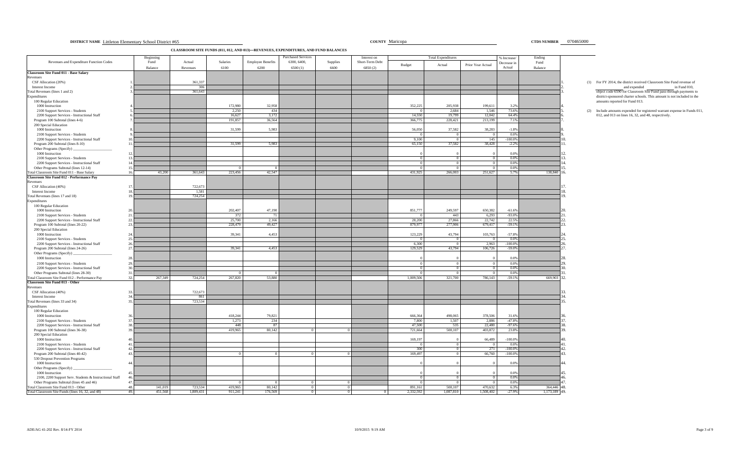| 070465000<br>COUNTY Maricopa<br><b>CTDS NUMBER</b><br><b>DISTRICT NAME</b> Littleton Elementary School District #65 |
|---------------------------------------------------------------------------------------------------------------------|
|---------------------------------------------------------------------------------------------------------------------|

**CLASSROOM SITE FUNDS (011, 012, AND 013)—REVENUES, EXPENDITURES, AND FUND BALANCES**

|                                                                                          | Beginning      |           |          |                          | <b>Purchased Services</b> |                | Interest on     |                     | <b>Total Expenditures</b> |                   | % Increase/      | Ending        |                                                                                                                                             |
|------------------------------------------------------------------------------------------|----------------|-----------|----------|--------------------------|---------------------------|----------------|-----------------|---------------------|---------------------------|-------------------|------------------|---------------|---------------------------------------------------------------------------------------------------------------------------------------------|
| Revenues and Expenditure Function Codes                                                  | Fund           | Actual    | Salaries | <b>Employee Benefits</b> | 6300, 6400,               | Supplies       | Short-Term Debt | Budget              | Actual                    | Prior Year Actual | Decrease in      | Fund          |                                                                                                                                             |
| Classroom Site Fund 011 - Base Salary                                                    | Balance        | Revenues  | 6100     | 6200                     | 6500(1)                   | 6600           | 6850(2)         |                     |                           |                   | Actual           | Balance       |                                                                                                                                             |
| Revenues                                                                                 |                |           |          |                          |                           |                |                 |                     |                           |                   |                  |               |                                                                                                                                             |
| CSF Allocation (20%)                                                                     |                | 361,337   |          |                          |                           |                |                 |                     |                           |                   |                  |               | (1) For FY 2014, the district received Classroom Site Fund revenue of                                                                       |
| Interest Income                                                                          |                | 306       |          |                          |                           |                |                 |                     |                           |                   |                  |               | and expended<br>in Fund 010,                                                                                                                |
| Total Revenues (lines 1 and 2)<br>Expenditures                                           |                | 361,643   |          |                          |                           |                |                 |                     |                           |                   |                  |               | object code 6590 for Classroom Site Fund pass-through payments to<br>district-sponsored charter schools. This amount is not included in the |
| 100 Regular Education                                                                    |                |           |          |                          |                           |                |                 |                     |                           |                   |                  |               | amounts reported for Fund 013.                                                                                                              |
| 1000 Instruction                                                                         |                |           | 172,980  | 32,958                   |                           |                |                 | 352,225             | 205,938                   | 199.611           | 3.2%             |               |                                                                                                                                             |
| 2100 Support Services - Students                                                         |                |           | 2,250    | 434                      |                           |                |                 |                     | 2,684                     | 1,546             | 73.6%            |               | (2) Include amounts expended for registered warrant expense in Funds 011                                                                    |
| 2200 Support Services - Instructional Staff                                              |                |           | 16,627   | 3,172                    |                           |                |                 | 14,550              | 19,799                    | 12,042            | 64.4%            |               | 012, and 013 on lines 16, 32, and 48, respectively.                                                                                         |
| Program 100 Subtotal (lines 4-6)                                                         |                |           | 191,857  | 36,564                   |                           |                |                 | 366,775             | 228,421                   | 213,199           | 7.1%             |               |                                                                                                                                             |
| 200 Special Education<br>1000 Instruction                                                |                |           | 31,599   | 5.983                    |                           |                |                 | 56,050              | 37,582                    | 38,283            | $-1.8%$          |               |                                                                                                                                             |
| 2100 Support Services - Students                                                         |                |           |          |                          |                           |                |                 | $^{\circ}$          | $\Omega$                  | $\Omega$          | $0.0\%$          |               |                                                                                                                                             |
| 2200 Support Services - Instructional Staff                                              |                |           |          |                          |                           |                |                 | 9,100               | $^{\circ}$                | 145               | $-100.0%$        |               |                                                                                                                                             |
| Program 200 Subtotal (lines 8-10)                                                        |                |           | 31,599   | 5,983                    |                           |                |                 | 65,150              | 37,582                    | 38,428            | $-2.2%$          |               |                                                                                                                                             |
| Other Programs (Specify)                                                                 |                |           |          |                          |                           |                |                 |                     |                           |                   |                  |               |                                                                                                                                             |
| 1000 Instruction                                                                         |                |           |          |                          |                           |                |                 |                     |                           |                   | 0.0%             |               |                                                                                                                                             |
| 2100 Support Services - Students<br>2200 Support Services - Instructional Staff          | 13<br>14       |           |          |                          |                           |                |                 |                     | $^{\circ}$<br>$\Omega$    | $\sqrt{ }$        | 0.0%<br>0.0%     |               |                                                                                                                                             |
| Other Programs Subtotal (lines 12-14)                                                    | 15             |           |          |                          |                           |                |                 |                     |                           |                   | 0.0%             |               |                                                                                                                                             |
| Total Classroom Site Fund 011 - Base Salary                                              | 16.<br>43,200  | 361,643   | 223,456  | 42,547                   |                           |                |                 | 431,925             | 266,003                   | 251,627           | 5.7%             | 138,840       | 16.                                                                                                                                         |
| Classroom Site Fund 012 - Performance Pay                                                |                |           |          |                          |                           |                |                 |                     |                           |                   |                  |               |                                                                                                                                             |
| Revenues                                                                                 |                |           |          |                          |                           |                |                 |                     |                           |                   |                  |               |                                                                                                                                             |
| CSF Allocation (40%)                                                                     | 17             | 722,673   |          |                          |                           |                |                 |                     |                           |                   |                  |               |                                                                                                                                             |
| Interest Income                                                                          |                | 1.581     |          |                          |                           |                |                 |                     |                           |                   |                  |               |                                                                                                                                             |
| Total Revenues (lines 17 and 18)<br>Expenditures                                         |                | 724,254   |          |                          |                           |                |                 |                     |                           |                   |                  |               | $\mathbf{Q}$                                                                                                                                |
| 100 Regular Education                                                                    |                |           |          |                          |                           |                |                 |                     |                           |                   |                  |               |                                                                                                                                             |
| 1000 Instruction                                                                         |                |           | 202,407  | 47.190                   |                           |                |                 | 851,777             | 249,597                   | 650,382           | $-61.6%$         |               |                                                                                                                                             |
| 2100 Support Services - Students                                                         | 21             |           | 372      | - 71                     |                           |                |                 |                     | 443                       | 6,293             | $-93.0%$         |               |                                                                                                                                             |
| 2200 Support Services - Instructional Staff                                              | 22.            |           | 25,700   | 2,166                    |                           |                |                 | 28,200              | 27,866                    | 22,742            | 22.5%            |               |                                                                                                                                             |
| Program 100 Subtotal (lines 20-22)                                                       | 23             |           | 228,479  | 49,427                   |                           |                |                 | 879,977             | 277,906                   | 679,417           | $-59.1%$         |               |                                                                                                                                             |
| 200 Special Education                                                                    | 24             |           |          |                          |                           |                |                 |                     |                           |                   |                  |               |                                                                                                                                             |
| 1000 Instruction<br>2100 Support Services - Students                                     | 25.            |           | 39,341   | 4,453                    |                           |                |                 | 123,229<br>$\Omega$ | 43,794<br>$\overline{0}$  | 103,763<br>- 0    | $-57.8%$<br>0.0% |               |                                                                                                                                             |
| 2200 Support Services - Instructional Staff                                              | 26.            |           |          |                          |                           |                |                 | 6.300               | $\overline{0}$            | 2.963             | $-100.0\%$       |               |                                                                                                                                             |
| Program 200 Subtotal (lines 24-26)                                                       | 27.            |           | 39.341   | 4.453                    |                           |                |                 | 129,529             | 43,794                    | 106,726           | $-59.0%$         |               |                                                                                                                                             |
| Other Programs (Specify)                                                                 |                |           |          |                          |                           |                |                 |                     |                           |                   |                  |               |                                                                                                                                             |
| 1000 Instruction                                                                         | 28             |           |          |                          |                           |                |                 |                     |                           |                   | 0.0%             |               |                                                                                                                                             |
| 2100 Support Services - Students                                                         | 29.            |           |          |                          |                           |                |                 |                     | $\Omega$                  | $\Omega$          | 0.0%             |               |                                                                                                                                             |
| 2200 Support Services - Instructional Staff                                              | 30<br>31.      |           |          |                          |                           |                |                 |                     |                           |                   | 0.0%             |               |                                                                                                                                             |
| Other Programs Subtotal (lines 28-30)<br>Total Classroom Site Fund 012 - Performance Pay | 32.<br>267,349 | 724,254   | 267,820  | 53,880                   |                           |                |                 | 1.009.506           | 321,700                   | 786.143           | 0.0%<br>$-59.1%$ | 669,903       | 32.                                                                                                                                         |
| <b>Classroom Site Fund 013 - Other</b>                                                   |                |           |          |                          |                           |                |                 |                     |                           |                   |                  |               |                                                                                                                                             |
| Revenues                                                                                 |                |           |          |                          |                           |                |                 |                     |                           |                   |                  |               |                                                                                                                                             |
| CSF Allocation (40%)                                                                     | 33             | 722,673   |          |                          |                           |                |                 |                     |                           |                   |                  |               |                                                                                                                                             |
| Interest Income                                                                          |                | 861       |          |                          |                           |                |                 |                     |                           |                   |                  |               |                                                                                                                                             |
| Total Revenues (lines 33 and 34)<br>Expenditures                                         | 35             | 723,534   |          |                          |                           |                |                 |                     |                           |                   |                  |               | 15.                                                                                                                                         |
| 100 Regular Education                                                                    |                |           |          |                          |                           |                |                 |                     |                           |                   |                  |               |                                                                                                                                             |
| 1000 Instruction                                                                         |                |           | 418,244  | 79,821                   |                           |                |                 | 666,364             | 498,065                   | 378,506           | 31.6%            |               |                                                                                                                                             |
| 2100 Support Services - Students                                                         | 37             |           | 1,273    | 234                      |                           |                |                 | 7,800               | 1,507                     | 2,886             | $-47.8%$         |               |                                                                                                                                             |
| 2200 Support Services - Instructional Staff                                              | 38.            |           | 448      | 87                       |                           |                |                 | 47,500              | 535                       | 22,480            | $-97.6%$         |               |                                                                                                                                             |
| Program 100 Subtotal (lines 36-38)                                                       | 39             |           | 419,965  | 80,142                   |                           |                |                 | 721,664             | 500,107                   | 403,872           | 23.8%            |               |                                                                                                                                             |
| 200 Special Education<br>1000 Instruction                                                |                |           |          |                          |                           |                |                 | 169,197             |                           | 66,489            | $-100.0\%$       |               |                                                                                                                                             |
| 2100 Support Services - Students                                                         | 41             |           |          |                          |                           |                |                 |                     |                           |                   | 0.0%             |               |                                                                                                                                             |
| 2200 Support Services - Instructional Staff                                              | 42             |           |          |                          |                           |                |                 | 300                 |                           | 271               | $-100.0\%$       |               | 12                                                                                                                                          |
| Program 200 Subtotal (lines 40-42)                                                       | 43.            |           |          |                          |                           |                |                 | 169,497             |                           | 66,760            | $-100.0\%$       |               | l٩.                                                                                                                                         |
| 530 Dropout Prevention Programs                                                          |                |           |          |                          |                           |                |                 |                     |                           |                   |                  |               |                                                                                                                                             |
| 1000 Instruction                                                                         | 44.            |           |          |                          |                           |                |                 |                     |                           |                   | 0.0%             |               |                                                                                                                                             |
| Other Programs (Specify)                                                                 |                |           |          |                          |                           |                |                 |                     |                           |                   |                  |               |                                                                                                                                             |
| 1000 Instruction<br>2100, 2200 Support Serv. Students & Instructional Staff              | 45<br>46       |           |          |                          |                           |                |                 |                     |                           |                   | 0.0%<br>0.0%     |               | 16                                                                                                                                          |
| Other Programs Subtotal (lines 45 and 46)                                                | 47.            |           |          |                          |                           |                |                 |                     |                           |                   | 0.0%             |               |                                                                                                                                             |
| Total Classroom Site Fund 013 - Other                                                    | 48.<br>141,019 | 723,534   | 419,965  | 80,142                   |                           | $\overline{0}$ |                 | 891,161             | 500,107                   | 470,632           | 6.3%             | 364,446       | 48.                                                                                                                                         |
| Total Classroom Site Funds (lines 16, 32, and 48)                                        | 49.<br>451.568 | 1,809,431 | 911,241  | 176,569                  |                           | $\overline{0}$ |                 | 2.332.592           | 1.087.810                 | 1.508,402         | $-27.9%$         | 1.173.189 49. |                                                                                                                                             |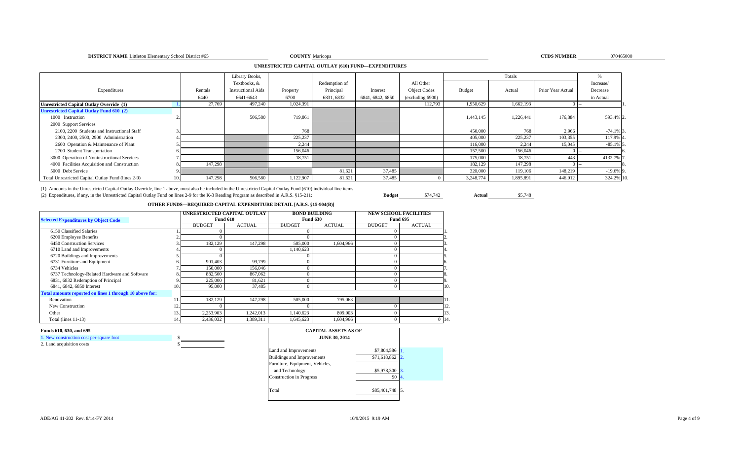### **DISTRICT NAME** Littleton Elementary School District #65 **COUNTY**

## **UNRESTRICTED CAPITAL OUTLAY (610) FUND—EXPENDITURES**

|                                                    |     |         | Library Books,            |           |               |                  |                     |           | Totals    |                   |              |
|----------------------------------------------------|-----|---------|---------------------------|-----------|---------------|------------------|---------------------|-----------|-----------|-------------------|--------------|
|                                                    |     |         | Textbooks, &              |           | Redemption of |                  | All Other           |           |           |                   | Increase/    |
| Expenditures                                       |     | Rentals | <b>Instructional Aids</b> | Property  | Principal     | Interest         | <b>Object Codes</b> | Budget    | Actual    | Prior Year Actual | Decrease     |
|                                                    |     | 6440    | 6641-6643                 | 6700      | 6831, 6832    | 6841, 6842, 6850 | (excluding 6900)    |           |           |                   | in Actual    |
| <b>Unrestricted Capital Outlay Override (1)</b>    |     | 27,769  | 497,240                   | 1,024,391 |               |                  | 112,793             | 1,950,629 | 1,662,193 |                   |              |
| <b>Unrestricted Capital Outlay Fund 610 (2)</b>    |     |         |                           |           |               |                  |                     |           |           |                   |              |
| 1000 Instruction                                   |     |         | 506,580                   | 719.861   |               |                  |                     | 1,443,145 | 1,226,441 | 176,884           | 593.4% 2     |
| 2000 Support Services                              |     |         |                           |           |               |                  |                     |           |           |                   |              |
| 2100, 2200 Students and Instructional Staff        |     |         |                           | 768       |               |                  |                     | 450,000   | 768       | 2,966             | $-74.1\%$ 3. |
| 2300, 2400, 2500, 2900 Administration              |     |         |                           | 225,237   |               |                  |                     | 405,000   | 225,237   | 103,355           | 117.9% 4     |
| 2600 Operation & Maintenance of Plant              |     |         |                           | 2,244     |               |                  |                     | 116,000   | 2,244     | 15,045            | $-85.1\%$ 5. |
| 2700 Student Transportation                        |     |         |                           | 156,046   |               |                  |                     | 157,500   | 156,046   |                   |              |
| 3000 Operation of Noninstructional Services        |     |         |                           | 18,751    |               |                  |                     | 175,000   | 18,751    | 443               | 4132.7%      |
| 4000 Facilities Acquisition and Construction       |     | 147,298 |                           |           |               |                  |                     | 182,129   | 147,298   |                   |              |
| 5000 Debt Service                                  |     |         |                           |           | 81,621        | 37,485           |                     | 320,000   | 119,106   | 148,219           | $-19.6\%$ 9  |
| Total Unrestricted Capital Outlay Fund (lines 2-9) | 10. | 147,298 | 506,580                   | 1,122,907 | 81,621        | 37,485           |                     | 3,248,774 | 1,895,891 | 446,912           | 324.2% 10    |

(1) Amounts in the Unrestricted Capital Outlay Override, line 1 above, must also be included in the Unrestricted Capital Outlay Fund (610) individual line items. (2) Expenditures, if any, in the Unrestricted Capital Outlay Fund on lines 2-9 for the K-3 Reading Program as described in A.R.S. §15-211: **Budget** \$74,742 **Actual** \$5,748

**OTHER FUNDS—REQUIRED CAPITAL EXPENDITURE DETAIL [A.R.S. §15-904(B)]** 

| <b>Selected Expenditures by Object Code</b>             | UNRESTRICTED CAPITAL OUTLAY | <b>Fund 610</b> | <b>BOND BUILDING</b><br><b>Fund 630</b> |               | <b>NEW SCHOOL FACILITIES</b><br><b>Fund 695</b> |               |               |    |
|---------------------------------------------------------|-----------------------------|-----------------|-----------------------------------------|---------------|-------------------------------------------------|---------------|---------------|----|
|                                                         |                             | <b>BUDGET</b>   | <b>ACTUAL</b>                           | <b>BUDGET</b> | <b>ACTUAL</b>                                   | <b>BUDGET</b> | <b>ACTUAL</b> |    |
| 6150 Classified Salaries                                |                             |                 |                                         |               |                                                 |               |               |    |
| 6200 Employee Benefits                                  |                             |                 |                                         |               |                                                 |               |               |    |
| 6450 Construction Services                              |                             | 182,129         | 147,298                                 | 505,000       | 1.604.966                                       |               |               |    |
| 6710 Land and Improvements                              |                             |                 |                                         | 1,140,623     |                                                 |               |               |    |
| 6720 Buildings and Improvements                         |                             |                 |                                         |               |                                                 |               |               |    |
| 6731 Furniture and Equipment                            |                             | 901,403         | 99,799                                  |               |                                                 |               |               |    |
| 6734 Vehicles                                           |                             | 150,000         | 156,046                                 |               |                                                 |               |               |    |
| 6737 Technology-Related Hardware and Software           |                             | 882,500         | 867,062                                 |               |                                                 |               |               |    |
| 6831, 6832 Redemption of Principal                      |                             | 225,000         | 81,621                                  |               |                                                 |               |               |    |
| 6841, 6842, 6850 Interest                               | 10.                         | 95,000          | 37,485                                  |               |                                                 |               |               | 10 |
| Total amounts reported on lines 1 through 10 above for: |                             |                 |                                         |               |                                                 |               |               |    |
| Renovation                                              |                             | 182,129         | 147.298                                 | 505,000       | 795,063                                         |               |               |    |
| New Construction                                        |                             |                 |                                         |               |                                                 |               |               | 12 |
| Other                                                   |                             | 2,253,903       | 1,242,013                               | 1,140,623     | 809,903                                         |               |               | 13 |
| Total (lines 11-13)                                     | 14.                         | 2,436,032       | 1,389,311                               | 1,645,623     | 1.604.966                                       |               |               | 14 |

### **Funds 610, 630, and 695**

1. New construction cost per square foot \$ 2. Land acquisition costs

| <b>CAPITAL ASSETS AS OF</b><br><b>JUNE 30, 2014</b> |              |                  |
|-----------------------------------------------------|--------------|------------------|
| Land and Improvements                               | \$7,804,586  |                  |
| <b>Buildings and Improvements</b>                   | \$71,618,862 | $\overline{2}$ . |
| Furniture, Equipment, Vehicles,                     |              |                  |
| and Technology                                      | \$5,978,300  |                  |
| <b>Construction</b> in Progress                     | \$0          | 4.               |
| Total                                               | \$85,401,748 |                  |
|                                                     |              |                  |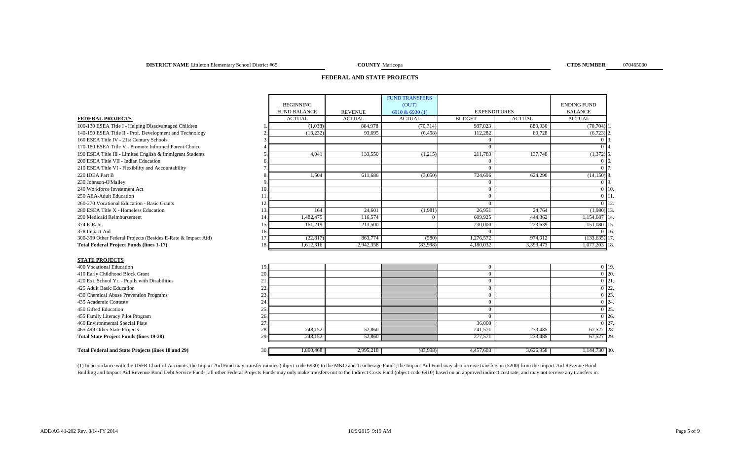**COUNTY Maricopa CTDS NUMBER** 070465000

## **FEDERAL AND STATE PROJECTS**

|                                                              |     |                     |                | <b>FUND TRANSFERS</b> |                     |               |                        |                    |
|--------------------------------------------------------------|-----|---------------------|----------------|-----------------------|---------------------|---------------|------------------------|--------------------|
|                                                              |     | <b>BEGINNING</b>    |                | (OUT)                 |                     |               | <b>ENDING FUND</b>     |                    |
|                                                              |     | <b>FUND BALANCE</b> | <b>REVENUE</b> | 6910 & 6930 (1)       | <b>EXPENDITURES</b> |               | <b>BALANCE</b>         |                    |
| <b>FEDERAL PROJECTS</b>                                      |     | <b>ACTUAL</b>       | <b>ACTUAL</b>  | <b>ACTUAL</b>         | <b>BUDGET</b>       | <b>ACTUAL</b> | <b>ACTUAL</b>          |                    |
| 100-130 ESEA Title I - Helping Disadvantaged Children        |     | (1,038)             | 884,978        | (70, 714)             | 987,823             | 883,930       | $(70, 704)$ 1          |                    |
| 140-150 ESEA Title II - Prof. Development and Technology     |     | (13, 232)           | 93.695         | (6, 458)              | 112,282             | 80,728        | $(6,723)$ <sup>2</sup> |                    |
| 160 ESEA Title IV - 21st Century Schools                     |     |                     |                |                       | $\Omega$            |               | 0 <sup>13</sup>        |                    |
| 170-180 ESEA Title V - Promote Informed Parent Choice        |     |                     |                |                       | $\Omega$            |               | 0 <sup>14</sup>        |                    |
| 190 ESEA Title III - Limited English & Immigrant Students    |     | 4.041               | 133,550        | (1,215)               | 211,783             | 137,748       | $(1,372)$ 5.           |                    |
| 200 ESEA Title VII - Indian Education                        |     |                     |                |                       | $\Omega$            |               | $0\,$ 16               |                    |
| 210 ESEA Title VI - Flexibility and Accountability           |     |                     |                |                       | $\Omega$            |               | 0 <sub>17</sub>        |                    |
| 220 IDEA Part B                                              |     | 1,504               | 611,686        | (3,050)               | 724,696             | 624,290       | $(14,150)$ 8.          |                    |
| 230 Johnson-O'Malley                                         |     |                     |                |                       | $\Omega$            |               | $0\vert 9$             |                    |
| 240 Workforce Investment Act                                 | 10. |                     |                |                       | $\Omega$            |               |                        | $0 \vert 10$       |
| 250 AEA-Adult Education                                      | 11  |                     |                |                       | $\mathbf{0}$        |               |                        | $0\vert11$         |
| 260-270 Vocational Education - Basic Grants                  | 12  |                     |                |                       | $\Omega$            |               |                        | $0 \mid 12$        |
| 280 ESEA Title X - Homeless Education                        | 13  | 164                 | 24,601         | (1,981)               | 26,951              | 24,764        | $(1,980)$ 13           |                    |
| 290 Medicaid Reimbursement                                   | 14  | 1,482,475           | 116,574        | $\Omega$              | 609.925             | 444,362       | 1,154,687 14           |                    |
| 374 E-Rate                                                   | 15. | 161,219             | 213,500        |                       | 230,000             | 223,639       | 151,080 15             |                    |
| 378 Impact Aid                                               | 16. |                     |                |                       | $\Omega$            |               |                        | $0\,116$           |
| 300-399 Other Federal Projects (Besides E-Rate & Impact Aid) | 17  | (22, 817)           | 863,774        | (580)                 | 1,276,572           | 974,012       | $(133, 635)$ 17.       |                    |
| <b>Total Federal Project Funds (lines 1-17)</b>              | 18  | 1,612,316           | 2,942,358      | (83,998)              | 4,180,032           | 3,393,473     | 1,077,203 18           |                    |
| <b>STATE PROJECTS</b>                                        |     |                     |                |                       |                     |               |                        |                    |
| 400 Vocational Education                                     | 19  |                     |                |                       | $\mathbf{0}$        |               |                        | $0$ 19             |
| 410 Early Childhood Block Grant                              | 20  |                     |                |                       | $\Omega$            |               |                        | $0\overline{20}$   |
| 420 Ext. School Yr. - Pupils with Disabilities               | 21  |                     |                |                       | $\mathbf{0}$        |               |                        | $\overline{0}$ 21  |
| 425 Adult Basic Education                                    | 22  |                     |                |                       | $\mathbf{0}$        |               |                        | $\overline{0}$ 22. |
| 430 Chemical Abuse Prevention Programs                       | 23  |                     |                |                       | $\Omega$            |               |                        | $0\, 23$           |
| 435 Academic Contests                                        | 24  |                     |                |                       | $\Omega$            |               |                        | $\overline{0}$ 24. |
| 450 Gifted Education                                         | 25. |                     |                |                       | $\Omega$            |               |                        | $0\,125$           |
| 455 Family Literacy Pilot Program                            | 26. |                     |                |                       | $\Omega$            |               |                        | $0\,26$            |
| 460 Environmental Special Plate                              | 27  |                     |                |                       | 36,000              |               |                        | 0 27               |
| 465-499 Other State Projects                                 | 28  | 248,152             | 52,860         |                       | 241,571             | 233,485       | 67,527 28.             |                    |
| <b>Total State Project Funds (lines 19-28)</b>               | 29  | 248,152             | 52,860         |                       | 277,571             | 233,485       | 67,527 29              |                    |
| <b>Total Federal and State Projects (lines 18 and 29)</b>    | 30. | 1,860,468           | 2,995,218      | (83,998)              | 4,457,603           | 3,626,958     | 1,144,730 30           |                    |
|                                                              |     |                     |                |                       |                     |               |                        |                    |

(1) In accordance with the USFR Chart of Accounts, the Impact Aid Fund may transfer monies (object code 6930) to the M&O and Teacherage Funds; the Impact Aid Fund may also receive transfers in (5200) from the Impact Aid Re Building and Impact Aid Revenue Bond Debt Service Funds; all other Federal Projects Funds may only make transfers-out to the Indirect Costs Fund (object code 6910) based on an approved indirect cost rate, and may not recei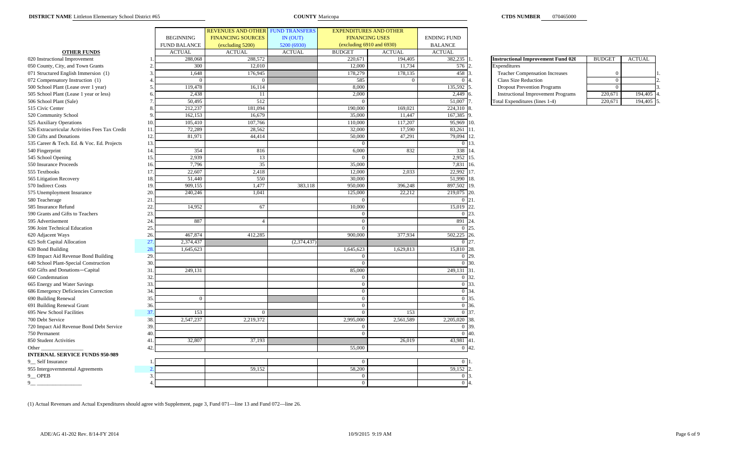|                                                |    |                     | REVENUES AND OTHER FUND TRANSFERS |               | <b>EXPENDITURES AND OTHER</b> |                |                    |                                           |                |               |
|------------------------------------------------|----|---------------------|-----------------------------------|---------------|-------------------------------|----------------|--------------------|-------------------------------------------|----------------|---------------|
|                                                |    | <b>BEGINNING</b>    | <b>FINANCING SOURCES</b>          | IN (OUT)      | <b>FINANCING USES</b>         |                | <b>ENDING FUND</b> |                                           |                |               |
|                                                |    | <b>FUND BALANCE</b> | (excluding 5200)                  | 5200 (6930)   | (excluding 6910 and 6930)     |                | <b>BALANCE</b>     |                                           |                |               |
| <b>OTHER FUNDS</b>                             |    | <b>ACTUAL</b>       | <b>ACTUAL</b>                     | <b>ACTUAL</b> | <b>BUDGET</b>                 | <b>ACTUAL</b>  | <b>ACTUAL</b>      |                                           |                |               |
| 020 Instructional Improvement                  |    | 288,068             | 288,572                           |               | 220,671                       | 194,405        | 382,235            | <b>Instructional Improvement Fund 020</b> | <b>BUDGET</b>  | <b>ACTUAL</b> |
| 050 County, City, and Town Grants              |    | 300                 | 12,010                            |               | 12,000                        | 11,734         | 576                | Expenditures                              |                |               |
| 071 Structured English Immersion (1)           |    | 1,648               | 176,945                           |               | 178,279                       | 178,135        | 458                | <b>Teacher Compensation Increases</b>     | $\Omega$       |               |
| 072 Compensatory Instruction (1)               |    | $\overline{0}$      | $\theta$                          |               | 585                           | $\overline{0}$ | $\overline{0}$     | Class Size Reduction                      | $\overline{0}$ |               |
| 500 School Plant (Lease over 1 year)           |    | 119,478             | 16,114                            |               | 8,000                         |                | 135,592            | <b>Dropout Prevention Programs</b>        | $\Omega$       |               |
| 505 School Plant (Lease 1 year or less)        |    | 2,438               | 11                                |               | 2,000                         |                | 2,449              | <b>Instructional Improvement Programs</b> | 220,671        | 194,405       |
| 506 School Plant (Sale)                        |    | 50,495              | 512                               |               |                               |                | 51,007             | Total Expenditures (lines 1-4)            | 220,671        | 194,405       |
| 515 Civic Center                               |    | 212,237             | 181,094                           |               | 190,000                       | 169,021        | 224,310            | <b>8.</b>                                 |                |               |
| 520 Community School                           |    | 162,153             | 16,679                            |               | 35,000                        | 11,447         | 167,385            | 19.                                       |                |               |
| 525 Auxiliary Operations                       | 10 | 105,410             | 107,766                           |               | 110,000                       | 117,207        | 95,969 10.         |                                           |                |               |
| 526 Extracurricular Activities Fees Tax Credit | 11 | 72,289              | 28,562                            |               | 32,000                        | 17,590         | 83,261 11.         |                                           |                |               |
| 530 Gifts and Donations                        | 12 | 81,971              | 44,414                            |               | 50,000                        | 47,291         | 79,094             | 12.                                       |                |               |
| 535 Career & Tech. Ed. & Voc. Ed. Projects     | 13 |                     |                                   |               |                               |                | $\Omega$           | 13.                                       |                |               |
| 540 Fingerprint                                | 14 | 354                 | 816                               |               | 6,000                         | 832            | 338                | 14                                        |                |               |
| 545 School Opening                             | 15 | 2,939               | 13                                |               |                               |                | 2,952              | 15.                                       |                |               |
| 550 Insurance Proceeds                         | 16 | 7,796               | 35                                |               | 35,000                        |                | 7,831              | 16.                                       |                |               |
| 555 Textbooks                                  | 17 | 22,607              | 2,418                             |               | 12,000                        | 2,033          | 22,992             | 17.                                       |                |               |
| 565 Litigation Recovery                        | 18 | 51,440              | 550                               |               | 30,000                        |                | 51,990             | 18                                        |                |               |
| 570 Indirect Costs                             | 19 | 909,155             | 1,477                             | 383,118       | 950,000                       | 396,248        | 897,502            | 19.                                       |                |               |
| 575 Unemployment Insurance                     | 20 | 240.246             | 1,041                             |               | 125,000                       | 22,212         | 219,075            | 20.                                       |                |               |
| 580 Teacherage                                 | 21 |                     |                                   |               |                               |                | $0 \; 21$          |                                           |                |               |
| 585 Insurance Refund                           | 22 | 14,952              | 67                                |               | 10,000                        |                | 15,019             | 22                                        |                |               |
| 590 Grants and Gifts to Teachers               | 23 |                     |                                   |               | $\Omega$                      |                | $0\vert 23$        |                                           |                |               |
| 595 Advertisement                              | 24 | 887                 | $\overline{4}$                    |               | $\Omega$                      |                | 891                | 24                                        |                |               |
| 596 Joint Technical Education                  | 25 |                     |                                   |               |                               |                | $0\,$ 25.          |                                           |                |               |
| 620 Adjacent Ways                              | 26 | 467,874             | 412,285                           |               | 900,000                       | 377,934        | 502,225            | 26.                                       |                |               |
| 625 Soft Capital Allocation                    | 27 | 2,374,437           |                                   | (2, 374, 437) |                               |                | 0 <sup>27</sup>    |                                           |                |               |
| 630 Bond Building                              | 28 | 1,645,623           |                                   |               | 1,645,623                     | 1,629,813      | 15,810             | 28                                        |                |               |
| 639 Impact Aid Revenue Bond Building           | 29 |                     |                                   |               |                               |                | $\mathbf{0}$       | 29.                                       |                |               |
| 640 School Plant-Special Construction          | 30 |                     |                                   |               |                               |                | $\overline{0}$     | 30                                        |                |               |
| 650 Gifts and Donations-Capital                | 31 | 249,131             |                                   |               | 85,000                        |                | 249,131 31         |                                           |                |               |
| 660 Condemnation                               | 32 |                     |                                   |               |                               |                | 0 32.              |                                           |                |               |
| 665 Energy and Water Savings                   | 33 |                     |                                   |               | $\Omega$                      |                | 0 33               |                                           |                |               |
| 686 Emergency Deficiencies Correction          | 34 |                     |                                   |               | $\Omega$                      |                | 0 34               |                                           |                |               |
| 690 Building Renewal                           | 35 | $\overline{0}$      |                                   |               | $\Omega$                      |                | $0\,35.$           |                                           |                |               |
| 691 Building Renewal Grant                     | 36 |                     |                                   |               | $\Omega$                      |                | $0\,36$            |                                           |                |               |
| 695 New School Facilities                      | 37 | 153                 | $\Omega$                          |               |                               | 153            | 0 37.              |                                           |                |               |
| 700 Debt Service                               | 38 | 2,547,237           | 2,219,372                         |               | 2,995,000                     | 2,561,589      | 2,205,020          | 38.                                       |                |               |
| 720 Impact Aid Revenue Bond Debt Service       | 39 |                     |                                   |               | $\Omega$                      |                | 0 39.              |                                           |                |               |
| 750 Permanent                                  | 40 |                     |                                   |               | $\Omega$                      |                | $0\,140.$          |                                           |                |               |
| 850 Student Activities                         | 41 | 32,807              | 37,193                            |               |                               | 26,019         | 43,981 41          |                                           |                |               |
| Other                                          | 42 |                     |                                   |               | 55,000                        |                | $0\;142$           |                                           |                |               |
| <b>INTERNAL SERVICE FUNDS 950-989</b>          |    |                     |                                   |               |                               |                |                    |                                           |                |               |
| 9 Self Insurance                               |    |                     |                                   |               |                               |                | $\mathbf{0}$       |                                           |                |               |
| 955 Intergovernmental Agreements               |    |                     | 59,152                            |               | 58,200                        |                | 59,152             |                                           |                |               |
| 9 <sup>O</sup> OPEB                            | 3  |                     |                                   |               |                               |                | $\Omega$           |                                           |                |               |
| 9                                              |    |                     |                                   |               |                               |                | $\Omega$           |                                           |                |               |

| <b>Instructional Improvement Fund 020</b> | <b>BUDGET</b> | <b>ACTUAL</b> |  |
|-------------------------------------------|---------------|---------------|--|
| Expenditures                              |               |               |  |
| <b>Teacher Compensation Increases</b>     |               |               |  |
| <b>Class Size Reduction</b>               |               |               |  |
| <b>Dropout Prevention Programs</b>        |               |               |  |
| <b>Instructional Improvement Programs</b> | 220,671       | 194.405       |  |
| Total Expenditures (lines 1-4)            | 220.671       | 194.405       |  |

(1) Actual Revenues and Actual Expenditures should agree with Supplement, page 3, Fund 071—line 13 and Fund 072—line 26.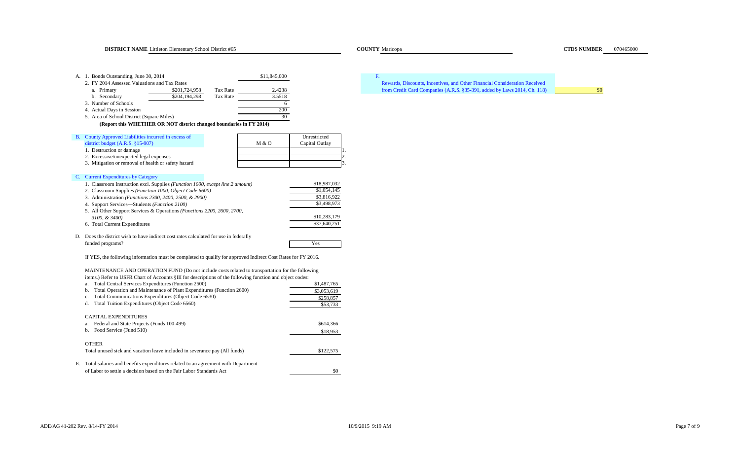**DISTRICT NAME** Littleton Elementary School District #65 Maricopa Maricopa Maricopa Maricopa Maricopa Maricopa Maricopa **COUNTY Maricopa COUNTY Maricopa COUNTY Maricopa COUNTY Maricopa** A. 1. Bonds Outstanding, June 30, 2014 **511,845,000 F.** 2. FY 2014 Assessed Valuations and Tax Rates a. Primary 19 (1941) S201,724,958 Tax Rate 2.4238 2.4238 from Credit Card Companies (A.R.S. §35-391, added by Laws 2014, Ch. 118) b. Secondary \$204,194,298 Tax Rate 3.5518 3. Number of Schools 64. Actual Days in Session 200 5. Area of School District (Square Miles) **(Report this WHETHER OR NOT district changed boundaries in FY 2014)** B. County Approved Liabilities incurred in excess of Unrestricted Unrestricted district budget (A.R.S. §15-907) M & O Capital Outlay 1. Destruction or damage 2. Excessive/unexpected legal expenses 2. 3. Mitigation or removal of health or safety hazard C. Current Expenditures by Category 1. Classroom Instruction excl. Supplies *(Function 1000, except line 2 amount)* \$18,987,032 2. Classroom Supplies (*Function 1000, Object Code 6600)* \$1,054,145<br>3. Administration (*Functions 2300, 2400, 2500, & 2900*) \$3,816,922 3. Administration *(Functions 2300, 2400, 2500, & 2900)* \$3,816,922<br>4. Support Services—Students *(Function 2100)* \$3,498,973 4. Support Services—Students *(Function 2100)* 5. All Other Support Services & Operations *(Functions 2200, 2600, 2700, 3100, & 3400)* \$10,283,179<br>Total Current Expenditures \$37,640,251 6. Total Current Expenditures D. Does the district wish to have indirect cost rates calculated for use in federally funded programs? The set of the set of the set of the set of the set of the set of the set of the set of the set of the set of the set of the set of the set of the set of the set of the set of the set of the set of the set MAINTENANCE AND OPERATION FUND (Do not include costs related to transportation for the following items.) Refer to USFR Chart of Accounts §III for descriptions of the following function and object codes: a. Total Central Services Expenditures (Function 2500) \$1,487,765 b. Total Operation and Maintenance of Plant Expenditures (Function 2600) \$3,053,619 c. Total Communications Expenditures (Object Code 6530) \$258,857 d. Total Tuition Expenditures (Object Code 6560) \$53,733 \$53,733 CAPITAL EXPENDITURESa. Federal and State Projects (Funds 100-499) \$614,366 b. Food Service (Fund 510) \$18,953 OTHERTotal unused sick and vacation leave included in severance pay (All funds) \$122,575 E. Total salaries and benefits expenditures related to an agreement with Department If YES, the following information must be completed to qualify for approved Indirect Cost Rates for FY 2016. Rewards, Discounts, Incentives, and Other Financial Consideration Received

of Labor to settle a decision based on the Fair Labor Standards Act \$0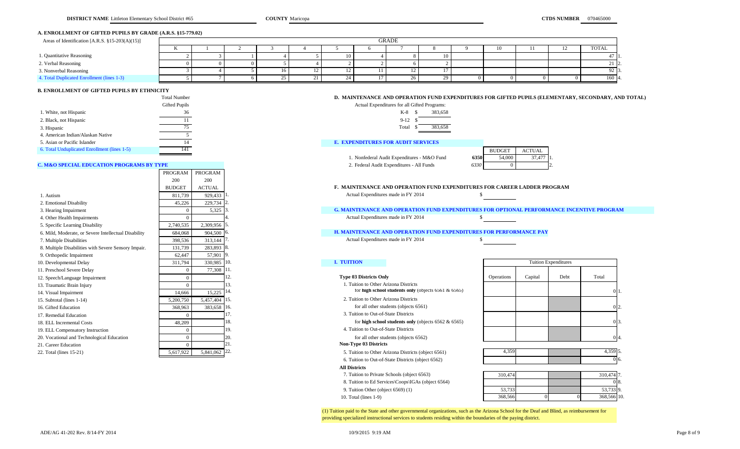## **A. ENROLLMENT OF GIFTED PUPILS BY GRADE (A.R.S. §15-779.02)**

| Areas of Identification [A.R.S. §15-203(A)(15)] | <b>GRADE</b> |  |  |  |     |  |  |    |  |    |  |       |
|-------------------------------------------------|--------------|--|--|--|-----|--|--|----|--|----|--|-------|
|                                                 |              |  |  |  |     |  |  |    |  | 10 |  | TOTAL |
| 1. Quantitative Reasoning                       |              |  |  |  | 10. |  |  | 10 |  |    |  |       |
| 2. Verbal Reasoning                             |              |  |  |  |     |  |  |    |  |    |  |       |
| 3. Nonverbal Reasoning                          |              |  |  |  |     |  |  |    |  |    |  | 92 I. |
| 4. Total Duplicated Enrollment (lines 1-3)      |              |  |  |  |     |  |  | 29 |  |    |  | 160 4 |

## **B. ENROLLMENT OF GIFTED PUPILS BY ETHNICITY**

|                                              | Total Number  | D. MAINTENANCE AND OPERATION FUND EXPENDITURES FOR GIFTED PUPILS (E |               |
|----------------------------------------------|---------------|---------------------------------------------------------------------|---------------|
|                                              | Gifted Pupils | Actual Expenditures for all Gifted Programs:                        |               |
| 1. White, not Hispanic                       |               | 383.658<br>K-8                                                      |               |
| 2. Black, not Hispanic                       |               | $9-12$                                                              |               |
| 3. Hispanic                                  |               | 383.658<br>Total                                                    |               |
| 4. American Indian/Alaskan Native            |               |                                                                     |               |
| 5. Asian or Pacific Islander                 |               | <b>E. EXPENDITURES FOR AUDIT SERVICES</b>                           |               |
| 6. Total Unduplicated Enrollment (lines 1-5) |               | <b>BUDGET</b>                                                       | <b>ACTUAL</b> |

PROGRAM PROGRAM

## **C. M&O SPECIAL EDUCATION PROGRAMS BY TYPE** 2. Federal Audit Expenditures - All Funds

|                                                      | 200          | 200             |      |                                       |                                                                                                  |                             |         |      |         |  |
|------------------------------------------------------|--------------|-----------------|------|---------------------------------------|--------------------------------------------------------------------------------------------------|-----------------------------|---------|------|---------|--|
|                                                      | <b>BUDGE</b> | <b>ACTUAL</b>   |      |                                       | <b>F. MAINTENANCE AND OPERATION FUND EXPENDITURES FOR CAREER LADDER PROGRAM</b>                  |                             |         |      |         |  |
| 1. Autism                                            | 811,739      | 929,433         |      | Actual Expenditures made in FY 2014   |                                                                                                  |                             |         |      |         |  |
| 2. Emotional Disability                              | 45,226       | 229,734         |      |                                       |                                                                                                  |                             |         |      |         |  |
| 3. Hearing Impairment                                |              | 5,325           |      |                                       | <b>G. MAINTENANCE AND OPERATION FUND EXPENDITURES FOR OPTIONAL PERFORMANCE INCENTIVE PROGRAM</b> |                             |         |      |         |  |
| 4. Other Health Impairments                          |              |                 |      | Actual Expenditures made in FY 2014   |                                                                                                  |                             |         |      |         |  |
| 5. Specific Learning Disability                      | 2,740,535    | 2,309,956       |      |                                       |                                                                                                  |                             |         |      |         |  |
| 6. Mild, Moderate, or Severe Intellectual Disability | 684,068      | 904,500 6       |      |                                       | <b>H. MAINTENANCE AND OPERATION FUND EXPENDITURES FOR PERFORMANCE PAY</b>                        |                             |         |      |         |  |
| 7. Multiple Disabilities                             | 398,536      | 313,144         |      | Actual Expenditures made in FY 2014   |                                                                                                  |                             |         |      |         |  |
| 8. Multiple Disabilities with Severe Sensory Impair. | 131,739      | 283,893         |      |                                       |                                                                                                  |                             |         |      |         |  |
| 9. Orthopedic Impairment                             | 62,447       | 57,901          |      |                                       |                                                                                                  |                             |         |      |         |  |
| 10. Developmental Delay                              | 311,794      | 330,985 10.     |      | <b>I. TUITION</b>                     |                                                                                                  | <b>Tuition Expenditures</b> |         |      |         |  |
| 11. Preschool Severe Delay                           |              | 77,308 11       |      |                                       |                                                                                                  |                             |         |      |         |  |
| 12. Speech/Language Impairment                       |              |                 |      | <b>Type 03 Districts Only</b>         |                                                                                                  | <b>Operations</b>           | Capital | Debt | Total   |  |
| 13. Traumatic Brain Injury                           |              |                 |      | 1. Tuition to Other Arizona Districts |                                                                                                  |                             |         |      |         |  |
| 14. Visual Impairment                                | 14,666       | 15,225          | -14. |                                       | for high school students only (objects $6561 & 6565$ )                                           |                             |         |      |         |  |
| 15. Subtotal (lines 1-14)                            | 5,200,750    | 5,457,404 15.   |      | 2. Tuition to Other Arizona Districts |                                                                                                  |                             |         |      |         |  |
| 16. Gifted Education                                 | 368,963      | 383,658 16.     |      |                                       | for all other students (objects 6561)                                                            |                             |         |      |         |  |
| 17. Remedial Education                               |              |                 |      | 3. Tuition to Out-of-State Districts  |                                                                                                  |                             |         |      |         |  |
| 18. ELL Incremental Costs                            | 48,209       |                 | 18.  |                                       | for high school students only (objects $6562 \& 6565$ )                                          |                             |         |      |         |  |
| 19. ELL Compensatory Instruction                     |              |                 | 19.  | 4. Tuition to Out-of-State Districts  |                                                                                                  |                             |         |      |         |  |
| 20. Vocational and Technological Education           |              |                 |      |                                       | for all other students (objects 6562)                                                            |                             |         |      |         |  |
| 21. Career Education                                 |              |                 |      | <b>Non-Type 03 Districts</b>          |                                                                                                  |                             |         |      |         |  |
| 22. Total (lines 15-21)                              | 5,617,922    | $5,841,062$ 22. |      |                                       | 5. Tuition to Other Arizona Districts (object 6561)                                              | 4,359                       |         |      | 4,359 5 |  |

## **D. MAINTENANCE AND OPERATION FUND EXPENDITURES FOR GIFTED PUPILS (ELEMENTARY, SECONDARY, AND TOTAL)**



## 14 **E. EXPENDITURES FOR AUDIT SERVICES**

1. Nonfederal Audit Expenditures - M&O Fund

|      | <b>BUDGET</b> | ACTUAL |  |
|------|---------------|--------|--|
| 6350 | 54,000        | 37.477 |  |
| 6330 |               |        |  |

## 6. Mild, Moderate, or Severe Intellectual Disability 684,068 904,500 6. **H. MAINTENANCE AND OPERATION FUND EXPENDITURES FOR PERFORMANCE PAY**

6. Tuition to Out-of-State Districts (object 6562)

### **All Districts**

- 7. Tuition to Private Schools (object 6563)
- 8. Tuition to Ed Services\Coops\IGAs (object 6564)
- 9. Tuition Other (object 6569) (1)
- 10. Total (lines 1-9)

| <b>Tuition Expenditures</b> |         |      |          |  |  |  |  |  |  |
|-----------------------------|---------|------|----------|--|--|--|--|--|--|
| Operations                  | Capital | Debt | Total    |  |  |  |  |  |  |
|                             |         |      | 0        |  |  |  |  |  |  |
|                             |         |      | 0        |  |  |  |  |  |  |
|                             |         |      | 3.<br>0  |  |  |  |  |  |  |
|                             |         |      | $\Omega$ |  |  |  |  |  |  |
| 4,359                       |         |      | 4,359 5. |  |  |  |  |  |  |

| $\sim$ |  | 1,001 |
|--------|--|-------|
|        |  |       |
|        |  |       |

| 310,474 |  | 310,474 7.  |      |
|---------|--|-------------|------|
|         |  |             | ۰лծ. |
| 53,733  |  | 53,733 9.   |      |
| 368,566 |  | 368,566 10. |      |

(1) Tuition paid to the State and other governmental organizations, such as the Arizona School for the Deaf and Blind, as reimbursement for providing specialized instructional services to students residing within the boundaries of the paying district.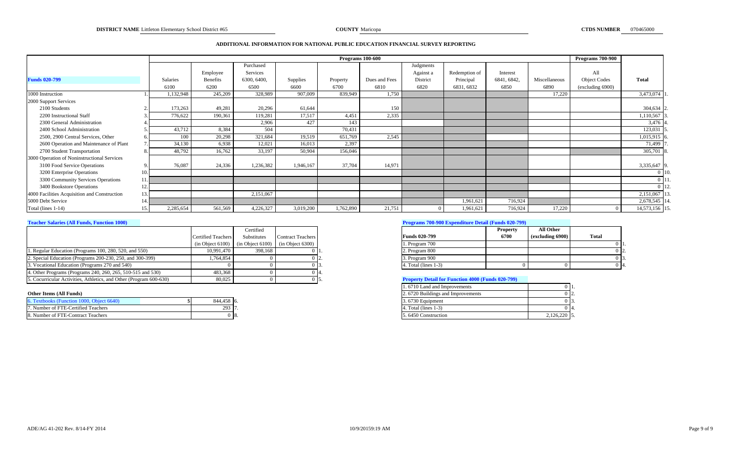### **ADDITIONAL INFORMATION FOR NATIONAL PUBLIC EDUCATION FINANCIAL SURVEY REPORTING**

|                                              |           |                 |             |           | <b>Programs</b> 100-600 |               |           |               |             |               | <b>Programs 700-900</b> |               |  |
|----------------------------------------------|-----------|-----------------|-------------|-----------|-------------------------|---------------|-----------|---------------|-------------|---------------|-------------------------|---------------|--|
|                                              |           |                 | Purchased   |           |                         |               | Judgments |               |             |               |                         |               |  |
|                                              |           | Employee        | Services    |           |                         |               | Against a | Redemption of | Interest    |               | All                     |               |  |
| <b>Funds 020-799</b>                         | Salaries  | <b>Benefits</b> | 6300, 6400, | Supplies  | Property                | Dues and Fees | District  | Principal     | 6841, 6842, | Miscellaneous | <b>Object Codes</b>     | <b>Total</b>  |  |
|                                              | 6100      | 6200            | 6500        | 6600      | 6700                    | 6810          | 6820      | 6831, 6832    | 6850        | 6890          | (excluding 6900)        |               |  |
| 1000 Instruction                             | 1,132,948 | 245,209         | 328,989     | 907,009   | 839,949                 | 1,750         |           |               |             | 17,220        |                         | 3,473,074     |  |
| 2000 Support Services                        |           |                 |             |           |                         |               |           |               |             |               |                         |               |  |
| 2100 Students                                | 173,263   | 49,281          | 20,296      | 61,644    |                         | 150           |           |               |             |               |                         | 304,634       |  |
| 2200 Instructional Staff                     | 776,622   | 190,361         | 119,281     | 17,517    | 4,451                   | 2,335         |           |               |             |               |                         | ,110,567      |  |
| 2300 General Administration                  |           |                 | 2,906       | 427       | 143                     |               |           |               |             |               |                         | 3,476         |  |
| 2400 School Administration                   | 43,712    | 8,384           | 504         |           | 70,431                  |               |           |               |             |               |                         | 123,031       |  |
| 2500, 2900 Central Services, Other           | 100       | 20,298          | 321,684     | 19,519    | 651,769                 | 2,545         |           |               |             |               |                         | 1,015,915     |  |
| 2600 Operation and Maintenance of Plant      | 34,130    | 6,938           | 12,021      | 16,013    | 2,397                   |               |           |               |             |               |                         | 71,499        |  |
| 2700 Student Transportation                  | 48,792    | 16,762          | 33,197      | 50,904    | 156,046                 |               |           |               |             |               |                         | 305,701 8     |  |
| 3000 Operation of Noninstructional Services  |           |                 |             |           |                         |               |           |               |             |               |                         |               |  |
| 3100 Food Service Operations                 | 76,087    | 24,336          | 1,236,382   | 1,946,167 | 37,704                  | 14,971        |           |               |             |               |                         | 3,335,647     |  |
| 3200 Enterprise Operations                   |           |                 |             |           |                         |               |           |               |             |               |                         |               |  |
| 3300 Community Services Operations           |           |                 |             |           |                         |               |           |               |             |               |                         |               |  |
| 3400 Bookstore Operations                    |           |                 |             |           |                         |               |           |               |             |               |                         |               |  |
| 4000 Facilities Acquisition and Construction |           |                 | 2,151,067   |           |                         |               |           |               |             |               |                         | 2,151,067     |  |
| 5000 Debt Service                            |           |                 |             |           |                         |               |           | 1,961,621     | 716,924     |               |                         | 2,678,545 1   |  |
| Total (lines 1-14)                           | 2,285,654 | 561,569         | 4,226,327   | 3,019,200 | 1,762,890               | 21,751        |           | 1,961,621     | 716,924     | 17,220        |                         | 14,573,156 15 |  |

|                                                                    |                           | Certified                                                |                          |                                                          | <b>Property</b> | All Other        |       |
|--------------------------------------------------------------------|---------------------------|----------------------------------------------------------|--------------------------|----------------------------------------------------------|-----------------|------------------|-------|
|                                                                    | <b>Certified Teachers</b> | Substitutes                                              | <b>Contract Teachers</b> | <b>Funds 020-799</b>                                     | 6700            | (excluding 6900) | Total |
|                                                                    |                           | $(in Object 6100)$ $(in Object 6100)$ $(in Object 6300)$ |                          | 1. Program 700                                           |                 |                  |       |
| 1. Regular Education (Programs 100, 280, 520, and 550)             | 10.991.470                | 398.168                                                  |                          | 2. Program 800                                           |                 |                  |       |
| 2. Special Education (Programs 200-230, 250, and 300-399)          | .764,854                  |                                                          |                          | 3. Program 900                                           |                 |                  |       |
| 3. Vocational Education (Programs 270 and 540)                     |                           |                                                          |                          | 4. Total (lines 1-3)                                     |                 |                  |       |
| 4. Other Programs (Programs 240, 260, 265, 510-515 and 530)        | 483.368                   |                                                          |                          |                                                          |                 |                  |       |
| 5. Cocurricular Activities, Athletics, and Other (Program 600-630) | 80,025                    |                                                          |                          | <b>Property Detail for Function 4000 (Funds 020-799)</b> |                 |                  |       |

| 6. Textbooks (Function 1000, Object 6640) | 844,458 6.                      | 3.6730 Equipment    |                         |
|-------------------------------------------|---------------------------------|---------------------|-------------------------|
| 7. Number of FTE-Certified Teachers       | $202$ $\blacksquare$<br>293 II. | Total (lines 1-3)   |                         |
| 8. Number of FTE-Contract Teachers        | -0 ls.                          | 5.6450 Construction | $126220$ 5<br>2,120,220 |

## **Teacher Salaries (All Funds, Function 1000) Programs 700-900 Expenditure Detail (Funds 020-799)**

|                         | <b>Property</b> | All Other        |       |
|-------------------------|-----------------|------------------|-------|
| <b>Funds 020-799</b>    | 6700            | (excluding 6900) | Total |
| 1. Program 700          |                 |                  |       |
| 2. Program 800          |                 |                  | 12.   |
| 3. Program 900          |                 |                  | 13.   |
| 4. Total (lines $1-3$ ) |                 |                  | 14.   |

## **Froperty Detail for Function 4000 (Funds 020-799)**

|                                           |            | 1.6710 Land and Improvements      | ) II           |  |
|-------------------------------------------|------------|-----------------------------------|----------------|--|
| Other Items (All Funds)                   |            | 2.6720 Buildings and Improvements | J 12.          |  |
| 6. Textbooks (Function 1000, Object 6640) | 844.458 6. | 3.6730 Equipment                  |                |  |
| 7. Number of FTE-Certified Teachers       | 293 17     | $4. Total (lines 1-3)$            | ) 14           |  |
| 8. Number of FTE-Contract Teachers        | ) 18.      | 5.6450 Construction               | $2,126,220$ 5. |  |